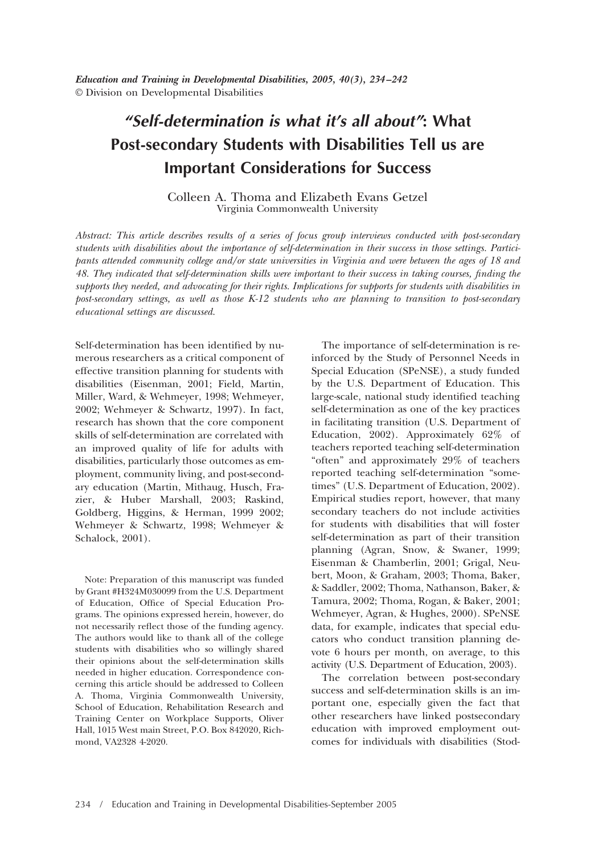*Education and Training in Developmental Disabilities, 2005, 40(3), 234 –242* © Division on Developmental Disabilities

# *"Self-determination is what it's all about"***: What Post-secondary Students with Disabilities Tell us are Important Considerations for Success**

Colleen A. Thoma and Elizabeth Evans Getzel Virginia Commonwealth University

*Abstract: This article describes results of a series of focus group interviews conducted with post-secondary students with disabilities about the importance of self-determination in their success in those settings. Participants attended community college and/or state universities in Virginia and were between the ages of 18 and 48. They indicated that self-determination skills were important to their success in taking courses, finding the supports they needed, and advocating for their rights. Implications for supports for students with disabilities in post-secondary settings, as well as those K-12 students who are planning to transition to post-secondary educational settings are discussed.*

Self-determination has been identified by numerous researchers as a critical component of effective transition planning for students with disabilities (Eisenman, 2001; Field, Martin, Miller, Ward, & Wehmeyer, 1998; Wehmeyer, 2002; Wehmeyer & Schwartz, 1997). In fact, research has shown that the core component skills of self-determination are correlated with an improved quality of life for adults with disabilities, particularly those outcomes as employment, community living, and post-secondary education (Martin, Mithaug, Husch, Frazier, & Huber Marshall, 2003; Raskind, Goldberg, Higgins, & Herman, 1999 2002; Wehmeyer & Schwartz, 1998; Wehmeyer & Schalock, 2001).

Note: Preparation of this manuscript was funded by Grant #H324M030099 from the U.S. Department of Education, Office of Special Education Programs. The opinions expressed herein, however, do not necessarily reflect those of the funding agency. The authors would like to thank all of the college students with disabilities who so willingly shared their opinions about the self-determination skills needed in higher education. Correspondence concerning this article should be addressed to Colleen A. Thoma, Virginia Commonwealth University, School of Education, Rehabilitation Research and Training Center on Workplace Supports, Oliver Hall, 1015 West main Street, P.O. Box 842020, Richmond, VA2328 4-2020.

The importance of self-determination is reinforced by the Study of Personnel Needs in Special Education (SPeNSE), a study funded by the U.S. Department of Education. This large-scale, national study identified teaching self-determination as one of the key practices in facilitating transition (U.S. Department of Education, 2002). Approximately 62% of teachers reported teaching self-determination "often" and approximately 29% of teachers reported teaching self-determination "sometimes" (U.S. Department of Education, 2002). Empirical studies report, however, that many secondary teachers do not include activities for students with disabilities that will foster self-determination as part of their transition planning (Agran, Snow, & Swaner, 1999; Eisenman & Chamberlin, 2001; Grigal, Neubert, Moon, & Graham, 2003; Thoma, Baker, & Saddler, 2002; Thoma, Nathanson, Baker, & Tamura, 2002; Thoma, Rogan, & Baker, 2001; Wehmeyer, Agran, & Hughes, 2000). SPeNSE data, for example, indicates that special educators who conduct transition planning devote 6 hours per month, on average, to this activity (U.S. Department of Education, 2003).

The correlation between post-secondary success and self-determination skills is an important one, especially given the fact that other researchers have linked postsecondary education with improved employment outcomes for individuals with disabilities (Stod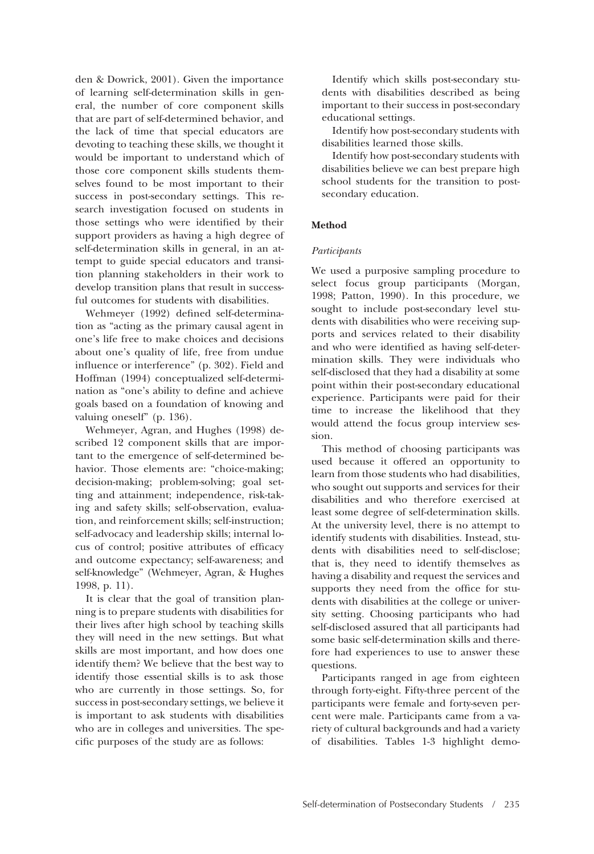den & Dowrick, 2001). Given the importance of learning self-determination skills in general, the number of core component skills that are part of self-determined behavior, and the lack of time that special educators are devoting to teaching these skills, we thought it would be important to understand which of those core component skills students themselves found to be most important to their success in post-secondary settings. This research investigation focused on students in those settings who were identified by their support providers as having a high degree of self-determination skills in general, in an attempt to guide special educators and transition planning stakeholders in their work to develop transition plans that result in successful outcomes for students with disabilities.

Wehmeyer (1992) defined self-determination as "acting as the primary causal agent in one's life free to make choices and decisions about one's quality of life, free from undue influence or interference" (p. 302). Field and Hoffman (1994) conceptualized self-determination as "one's ability to define and achieve goals based on a foundation of knowing and valuing oneself" (p. 136).

Wehmeyer, Agran, and Hughes (1998) described 12 component skills that are important to the emergence of self-determined behavior. Those elements are: "choice-making; decision-making; problem-solving; goal setting and attainment; independence, risk-taking and safety skills; self-observation, evaluation, and reinforcement skills; self-instruction; self-advocacy and leadership skills; internal locus of control; positive attributes of efficacy and outcome expectancy; self-awareness; and self-knowledge" (Wehmeyer, Agran, & Hughes 1998, p. 11).

It is clear that the goal of transition planning is to prepare students with disabilities for their lives after high school by teaching skills they will need in the new settings. But what skills are most important, and how does one identify them? We believe that the best way to identify those essential skills is to ask those who are currently in those settings. So, for success in post-secondary settings, we believe it is important to ask students with disabilities who are in colleges and universities. The specific purposes of the study are as follows:

Identify which skills post-secondary students with disabilities described as being important to their success in post-secondary educational settings.

Identify how post-secondary students with disabilities learned those skills.

Identify how post-secondary students with disabilities believe we can best prepare high school students for the transition to postsecondary education.

## **Method**

#### *Participants*

We used a purposive sampling procedure to select focus group participants (Morgan, 1998; Patton, 1990). In this procedure, we sought to include post-secondary level students with disabilities who were receiving supports and services related to their disability and who were identified as having self-determination skills. They were individuals who self-disclosed that they had a disability at some point within their post-secondary educational experience. Participants were paid for their time to increase the likelihood that they would attend the focus group interview session.

This method of choosing participants was used because it offered an opportunity to learn from those students who had disabilities, who sought out supports and services for their disabilities and who therefore exercised at least some degree of self-determination skills. At the university level, there is no attempt to identify students with disabilities. Instead, students with disabilities need to self-disclose; that is, they need to identify themselves as having a disability and request the services and supports they need from the office for students with disabilities at the college or university setting. Choosing participants who had self-disclosed assured that all participants had some basic self-determination skills and therefore had experiences to use to answer these questions.

Participants ranged in age from eighteen through forty-eight. Fifty-three percent of the participants were female and forty-seven percent were male. Participants came from a variety of cultural backgrounds and had a variety of disabilities. Tables 1-3 highlight demo-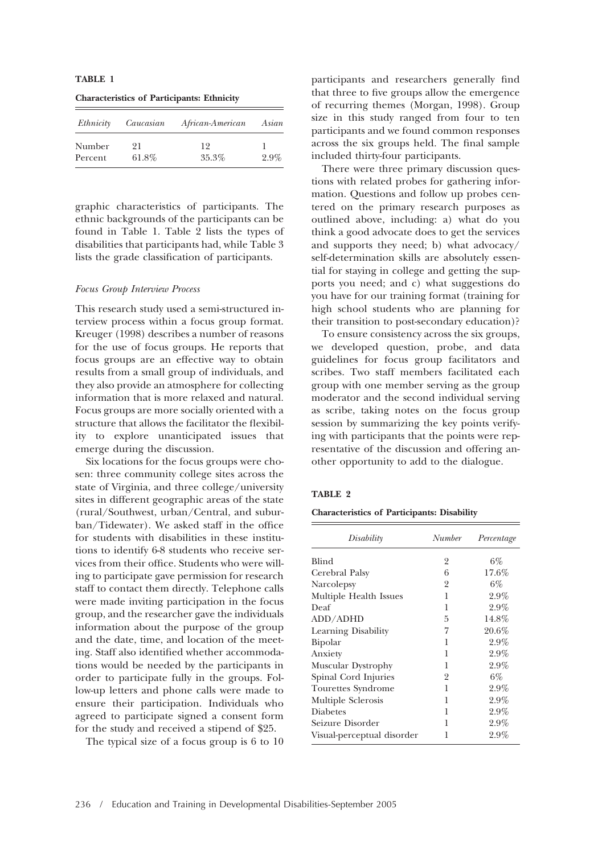**TABLE 1**

**Characteristics of Participants: Ethnicity**

| Ethnicity | Caucasian | African-American | Asian   |  |
|-----------|-----------|------------------|---------|--|
| Number    | 91        | 19               |         |  |
| Percent   | $61.8\%$  | 35.3%            | $2.9\%$ |  |

graphic characteristics of participants. The ethnic backgrounds of the participants can be found in Table 1. Table 2 lists the types of disabilities that participants had, while Table 3 lists the grade classification of participants.

#### *Focus Group Interview Process*

This research study used a semi-structured interview process within a focus group format. Kreuger (1998) describes a number of reasons for the use of focus groups. He reports that focus groups are an effective way to obtain results from a small group of individuals, and they also provide an atmosphere for collecting information that is more relaxed and natural. Focus groups are more socially oriented with a structure that allows the facilitator the flexibility to explore unanticipated issues that emerge during the discussion.

Six locations for the focus groups were chosen: three community college sites across the state of Virginia, and three college/university sites in different geographic areas of the state (rural/Southwest, urban/Central, and suburban/Tidewater). We asked staff in the office for students with disabilities in these institutions to identify 6-8 students who receive services from their office. Students who were willing to participate gave permission for research staff to contact them directly. Telephone calls were made inviting participation in the focus group, and the researcher gave the individuals information about the purpose of the group and the date, time, and location of the meeting. Staff also identified whether accommodations would be needed by the participants in order to participate fully in the groups. Follow-up letters and phone calls were made to ensure their participation. Individuals who agreed to participate signed a consent form for the study and received a stipend of \$25.

The typical size of a focus group is 6 to 10

participants and researchers generally find that three to five groups allow the emergence of recurring themes (Morgan, 1998). Group size in this study ranged from four to ten participants and we found common responses across the six groups held. The final sample included thirty-four participants.

There were three primary discussion questions with related probes for gathering information. Questions and follow up probes centered on the primary research purposes as outlined above, including: a) what do you think a good advocate does to get the services and supports they need; b) what advocacy/ self-determination skills are absolutely essential for staying in college and getting the supports you need; and c) what suggestions do you have for our training format (training for high school students who are planning for their transition to post-secondary education)?

To ensure consistency across the six groups, we developed question, probe, and data guidelines for focus group facilitators and scribes. Two staff members facilitated each group with one member serving as the group moderator and the second individual serving as scribe, taking notes on the focus group session by summarizing the key points verifying with participants that the points were representative of the discussion and offering another opportunity to add to the dialogue.

#### **TABLE 2**

**Characteristics of Participants: Disability**

| Disability                 | Number         | Percentage |  |
|----------------------------|----------------|------------|--|
| Blind                      | $\overline{2}$ | $6\%$      |  |
| Cerebral Palsy             | 6              | 17.6%      |  |
| Narcolepsy                 | $\overline{2}$ | 6%         |  |
| Multiple Health Issues     | 1              | 2.9%       |  |
| Deaf                       | 1              | 2.9%       |  |
| ADD/ADHD                   | 5              | 14.8%      |  |
| Learning Disability        | 7              | 20.6%      |  |
| Bipolar                    | 1              | $2.9\%$    |  |
| Anxiety                    | 1              | 2.9%       |  |
| Muscular Dystrophy         | 1              | $2.9\%$    |  |
| Spinal Cord Injuries       | $\overline{2}$ | $6\%$      |  |
| Tourettes Syndrome         | 1              | $2.9\%$    |  |
| Multiple Sclerosis         | 1              | 2.9%       |  |
| <b>Diabetes</b>            | 1              | 2.9%       |  |
| Seizure Disorder           | 1              | $2.9\%$    |  |
| Visual-perceptual disorder | 1              | 2.9%       |  |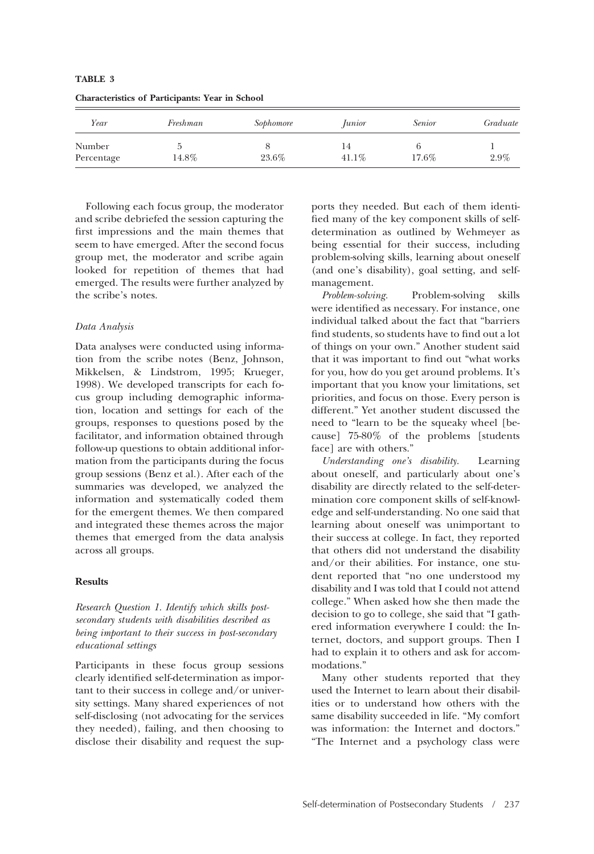| Year       | Freshman | Sophomore | <i><u>Lunior</u></i> | <i>Senior</i> | Graduate |
|------------|----------|-----------|----------------------|---------------|----------|
| Number     |          |           | 14                   |               |          |
| Percentage | 14.8%    | 23.6%     | $41.1\%$             | $17.6\%$      | $2.9\%$  |

**Characteristics of Participants: Year in School**

Following each focus group, the moderator and scribe debriefed the session capturing the first impressions and the main themes that seem to have emerged. After the second focus group met, the moderator and scribe again looked for repetition of themes that had emerged. The results were further analyzed by the scribe's notes.

## *Data Analysis*

**TABLE 3**

Data analyses were conducted using information from the scribe notes (Benz, Johnson, Mikkelsen, & Lindstrom, 1995; Krueger, 1998). We developed transcripts for each focus group including demographic information, location and settings for each of the groups, responses to questions posed by the facilitator, and information obtained through follow-up questions to obtain additional information from the participants during the focus group sessions (Benz et al.). After each of the summaries was developed, we analyzed the information and systematically coded them for the emergent themes. We then compared and integrated these themes across the major themes that emerged from the data analysis across all groups.

#### **Results**

*Research Question 1. Identify which skills postsecondary students with disabilities described as being important to their success in post-secondary educational settings*

Participants in these focus group sessions clearly identified self-determination as important to their success in college and/or university settings. Many shared experiences of not self-disclosing (not advocating for the services they needed), failing, and then choosing to disclose their disability and request the supports they needed. But each of them identified many of the key component skills of selfdetermination as outlined by Wehmeyer as being essential for their success, including problem-solving skills, learning about oneself (and one's disability), goal setting, and selfmanagement.

*Problem-solving.* Problem-solving skills were identified as necessary. For instance, one individual talked about the fact that "barriers find students, so students have to find out a lot of things on your own." Another student said that it was important to find out "what works for you, how do you get around problems. It's important that you know your limitations, set priorities, and focus on those. Every person is different." Yet another student discussed the need to "learn to be the squeaky wheel [because] 75-80% of the problems [students face] are with others."

*Understanding one's disability.* Learning about oneself, and particularly about one's disability are directly related to the self-determination core component skills of self-knowledge and self-understanding. No one said that learning about oneself was unimportant to their success at college. In fact, they reported that others did not understand the disability and/or their abilities. For instance, one student reported that "no one understood my disability and I was told that I could not attend college." When asked how she then made the decision to go to college, she said that "I gathered information everywhere I could: the Internet, doctors, and support groups. Then I had to explain it to others and ask for accommodations."

Many other students reported that they used the Internet to learn about their disabilities or to understand how others with the same disability succeeded in life. "My comfort was information: the Internet and doctors." "The Internet and a psychology class were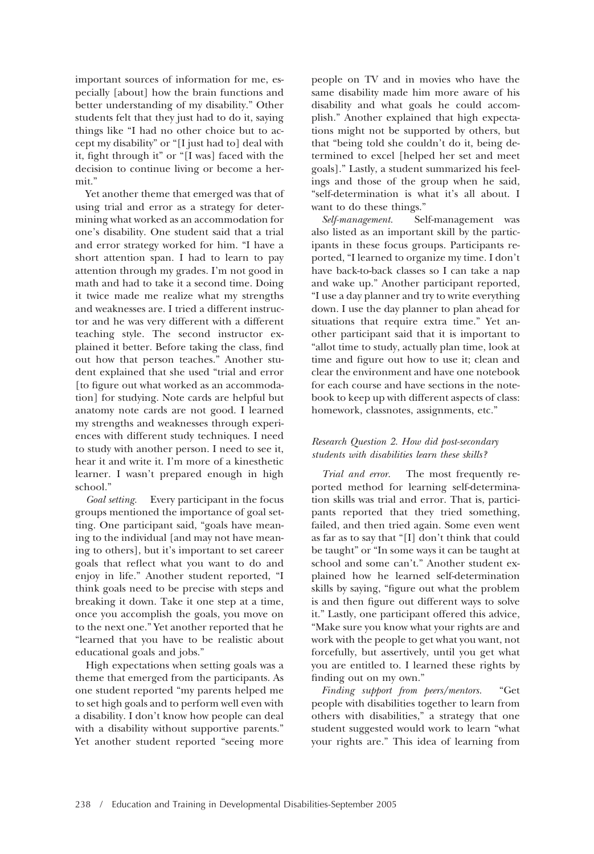important sources of information for me, especially [about] how the brain functions and better understanding of my disability." Other students felt that they just had to do it, saying things like "I had no other choice but to accept my disability" or "[I just had to] deal with it, fight through it" or "[I was] faced with the decision to continue living or become a hermit."

Yet another theme that emerged was that of using trial and error as a strategy for determining what worked as an accommodation for one's disability. One student said that a trial and error strategy worked for him. "I have a short attention span. I had to learn to pay attention through my grades. I'm not good in math and had to take it a second time. Doing it twice made me realize what my strengths and weaknesses are. I tried a different instructor and he was very different with a different teaching style. The second instructor explained it better. Before taking the class, find out how that person teaches." Another student explained that she used "trial and error [to figure out what worked as an accommodation] for studying. Note cards are helpful but anatomy note cards are not good. I learned my strengths and weaknesses through experiences with different study techniques. I need to study with another person. I need to see it, hear it and write it. I'm more of a kinesthetic learner. I wasn't prepared enough in high school."

*Goal setting.* Every participant in the focus groups mentioned the importance of goal setting. One participant said, "goals have meaning to the individual [and may not have meaning to others], but it's important to set career goals that reflect what you want to do and enjoy in life." Another student reported, "I think goals need to be precise with steps and breaking it down. Take it one step at a time, once you accomplish the goals, you move on to the next one." Yet another reported that he "learned that you have to be realistic about educational goals and jobs."

High expectations when setting goals was a theme that emerged from the participants. As one student reported "my parents helped me to set high goals and to perform well even with a disability. I don't know how people can deal with a disability without supportive parents." Yet another student reported "seeing more people on TV and in movies who have the same disability made him more aware of his disability and what goals he could accomplish." Another explained that high expectations might not be supported by others, but that "being told she couldn't do it, being determined to excel [helped her set and meet goals]." Lastly, a student summarized his feelings and those of the group when he said, "self-determination is what it's all about. I want to do these things."

*Self-management.* Self-management was also listed as an important skill by the participants in these focus groups. Participants reported, "I learned to organize my time. I don't have back-to-back classes so I can take a nap and wake up." Another participant reported, "I use a day planner and try to write everything down. I use the day planner to plan ahead for situations that require extra time." Yet another participant said that it is important to "allot time to study, actually plan time, look at time and figure out how to use it; clean and clear the environment and have one notebook for each course and have sections in the notebook to keep up with different aspects of class: homework, classnotes, assignments, etc."

# *Research Question 2. How did post-secondary students with disabilities learn these skills?*

*Trial and error.* The most frequently reported method for learning self-determination skills was trial and error. That is, participants reported that they tried something, failed, and then tried again. Some even went as far as to say that "[I] don't think that could be taught" or "In some ways it can be taught at school and some can't." Another student explained how he learned self-determination skills by saying, "figure out what the problem is and then figure out different ways to solve it." Lastly, one participant offered this advice, "Make sure you know what your rights are and work with the people to get what you want, not forcefully, but assertively, until you get what you are entitled to. I learned these rights by finding out on my own."

*Finding support from peers/mentors.* "Get people with disabilities together to learn from others with disabilities," a strategy that one student suggested would work to learn "what your rights are." This idea of learning from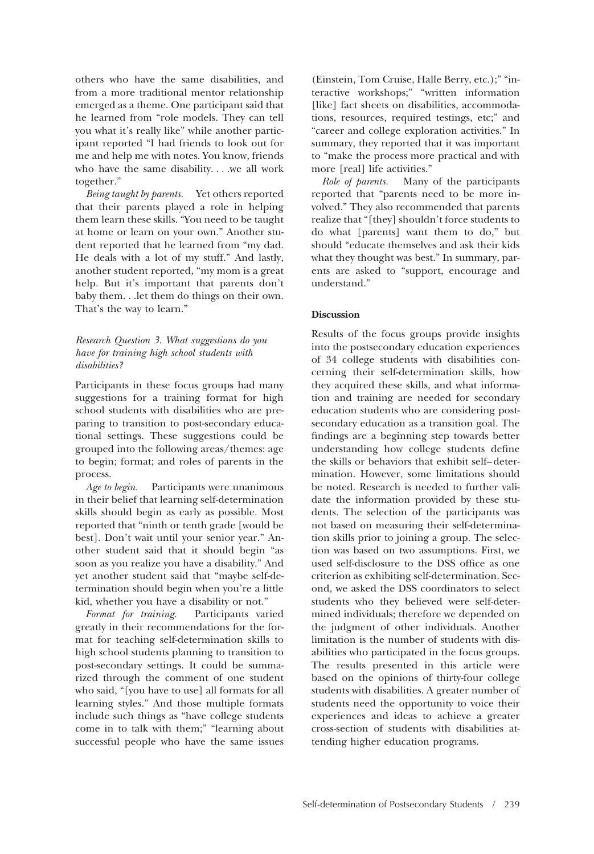others who have the same disabilities, and from a more traditional mentor relationship emerged as a theme. One participant said that he learned from "role models. They can tell you what it's really like" while another participant reported "I had friends to look out for me and help me with notes. You know, friends who have the same disability. . . .we all work together."

*Being taught by parents.* Yet others reported that their parents played a role in helping them learn these skills. "You need to be taught at home or learn on your own." Another student reported that he learned from "my dad. He deals with a lot of my stuff." And lastly, another student reported, "my mom is a great help. But it's important that parents don't baby them. . .let them do things on their own. That's the way to learn."

## *Research Question 3. What suggestions do you have for training high school students with disabilities?*

Participants in these focus groups had many suggestions for a training format for high school students with disabilities who are preparing to transition to post-secondary educational settings. These suggestions could be grouped into the following areas/themes: age to begin; format; and roles of parents in the process.

*Age to begin.* Participants were unanimous in their belief that learning self-determination skills should begin as early as possible. Most reported that "ninth or tenth grade [would be best]. Don't wait until your senior year." Another student said that it should begin "as soon as you realize you have a disability." And yet another student said that "maybe self-determination should begin when you're a little kid, whether you have a disability or not."

*Format for training.* Participants varied greatly in their recommendations for the format for teaching self-determination skills to high school students planning to transition to post-secondary settings. It could be summarized through the comment of one student who said, "[you have to use] all formats for all learning styles." And those multiple formats include such things as "have college students come in to talk with them;" "learning about successful people who have the same issues

(Einstein, Tom Cruise, Halle Berry, etc.);" "interactive workshops;" "written information [like] fact sheets on disabilities, accommodations, resources, required testings, etc;" and "career and college exploration activities." In summary, they reported that it was important to "make the process more practical and with more [real] life activities."

*Role of parents.* Many of the participants reported that "parents need to be more involved." They also recommended that parents realize that "[they] shouldn't force students to do what [parents] want them to do," but should "educate themselves and ask their kids what they thought was best." In summary, parents are asked to "support, encourage and understand."

# **Discussion**

Results of the focus groups provide insights into the postsecondary education experiences of 34 college students with disabilities concerning their self-determination skills, how they acquired these skills, and what information and training are needed for secondary education students who are considering postsecondary education as a transition goal. The findings are a beginning step towards better understanding how college students define the skills or behaviors that exhibit self– determination. However, some limitations should be noted. Research is needed to further validate the information provided by these students. The selection of the participants was not based on measuring their self-determination skills prior to joining a group. The selection was based on two assumptions. First, we used self-disclosure to the DSS office as one criterion as exhibiting self-determination. Second, we asked the DSS coordinators to select students who they believed were self-determined individuals; therefore we depended on the judgment of other individuals. Another limitation is the number of students with disabilities who participated in the focus groups. The results presented in this article were based on the opinions of thirty-four college students with disabilities. A greater number of students need the opportunity to voice their experiences and ideas to achieve a greater cross-section of students with disabilities attending higher education programs.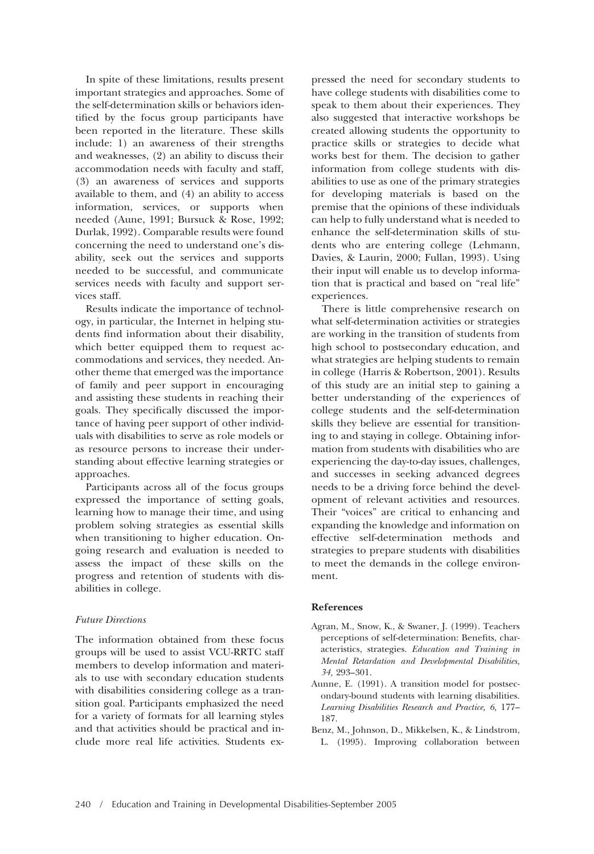In spite of these limitations, results present important strategies and approaches. Some of the self-determination skills or behaviors identified by the focus group participants have been reported in the literature. These skills include: 1) an awareness of their strengths and weaknesses, (2) an ability to discuss their accommodation needs with faculty and staff, (3) an awareness of services and supports available to them, and (4) an ability to access information, services, or supports when needed (Aune, 1991; Bursuck & Rose, 1992; Durlak, 1992). Comparable results were found concerning the need to understand one's disability, seek out the services and supports needed to be successful, and communicate services needs with faculty and support services staff.

Results indicate the importance of technology, in particular, the Internet in helping students find information about their disability, which better equipped them to request accommodations and services, they needed. Another theme that emerged was the importance of family and peer support in encouraging and assisting these students in reaching their goals. They specifically discussed the importance of having peer support of other individuals with disabilities to serve as role models or as resource persons to increase their understanding about effective learning strategies or approaches.

Participants across all of the focus groups expressed the importance of setting goals, learning how to manage their time, and using problem solving strategies as essential skills when transitioning to higher education. Ongoing research and evaluation is needed to assess the impact of these skills on the progress and retention of students with disabilities in college.

#### *Future Directions*

The information obtained from these focus groups will be used to assist VCU-RRTC staff members to develop information and materials to use with secondary education students with disabilities considering college as a transition goal. Participants emphasized the need for a variety of formats for all learning styles and that activities should be practical and include more real life activities. Students expressed the need for secondary students to have college students with disabilities come to speak to them about their experiences. They also suggested that interactive workshops be created allowing students the opportunity to practice skills or strategies to decide what works best for them. The decision to gather information from college students with disabilities to use as one of the primary strategies for developing materials is based on the premise that the opinions of these individuals can help to fully understand what is needed to enhance the self-determination skills of students who are entering college (Lehmann, Davies, & Laurin, 2000; Fullan, 1993). Using their input will enable us to develop information that is practical and based on "real life" experiences.

There is little comprehensive research on what self-determination activities or strategies are working in the transition of students from high school to postsecondary education, and what strategies are helping students to remain in college (Harris & Robertson, 2001). Results of this study are an initial step to gaining a better understanding of the experiences of college students and the self-determination skills they believe are essential for transitioning to and staying in college. Obtaining information from students with disabilities who are experiencing the day-to-day issues, challenges, and successes in seeking advanced degrees needs to be a driving force behind the development of relevant activities and resources. Their "voices" are critical to enhancing and expanding the knowledge and information on effective self-determination methods and strategies to prepare students with disabilities to meet the demands in the college environment.

## **References**

- Agran, M., Snow, K., & Swaner, J. (1999). Teachers perceptions of self-determination: Benefits, characteristics, strategies. *Education and Training in Mental Retardation and Developmental Disabilities, 34,* 293–301.
- Aunne, E. (1991). A transition model for postsecondary-bound students with learning disabilities. *Learning Disabilities Research and Practice, 6,* 177– 187.
- Benz, M., Johnson, D., Mikkelsen, K., & Lindstrom, L. (1995). Improving collaboration between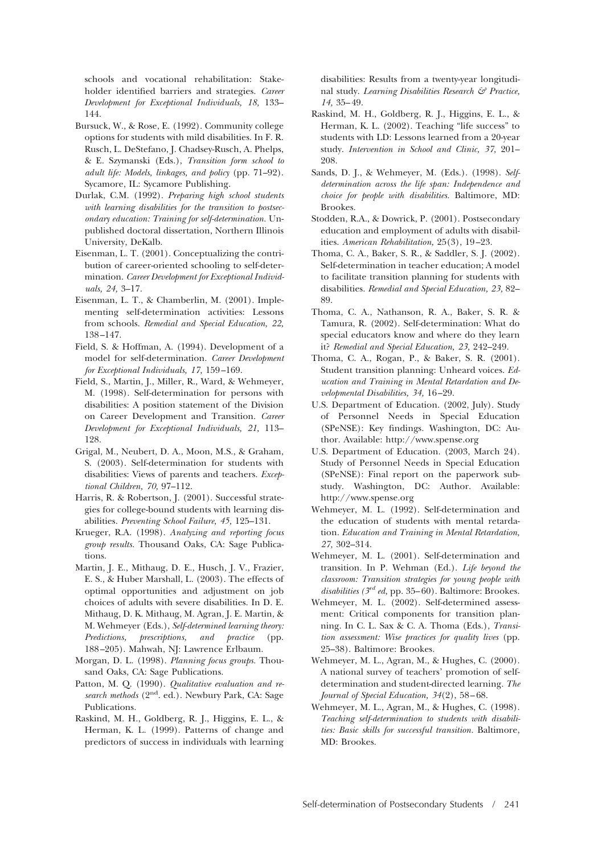schools and vocational rehabilitation: Stakeholder identified barriers and strategies. *Career Development for Exceptional Individuals, 18,* 133– 144.

- Bursuck, W., & Rose, E. (1992). Community college options for students with mild disabilities. In F. R. Rusch, L. DeStefano, J. Chadsey-Rusch, A. Phelps, & E. Szymanski (Eds.), *Transition form school to adult life: Models, linkages, and policy* (pp. 71–92). Sycamore, IL: Sycamore Publishing.
- Durlak, C.M. (1992). *Preparing high school students with learning disabilities for the transition to postsecondary education: Training for self-determination.* Unpublished doctoral dissertation, Northern Illinois University, DeKalb.
- Eisenman, L. T. (2001). Conceptualizing the contribution of career-oriented schooling to self-determination. *Career Development for Exceptional Individuals, 24,* 3–17.
- Eisenman, L. T., & Chamberlin, M. (2001). Implementing self-determination activities: Lessons from schools. *Remedial and Special Education, 22,* 138 –147.
- Field, S. & Hoffman, A. (1994). Development of a model for self-determination. *Career Development for Exceptional Individuals, 17,* 159 –169.
- Field, S., Martin, J., Miller, R., Ward, & Wehmeyer, M. (1998). Self-determination for persons with disabilities: A position statement of the Division on Career Development and Transition. *Career Development for Exceptional Individuals, 21,* 113– 128.
- Grigal, M., Neubert, D. A., Moon, M.S., & Graham, S. (2003). Self-determination for students with disabilities: Views of parents and teachers. *Exceptional Children, 70,* 97–112.
- Harris, R. & Robertson, J. (2001). Successful strategies for college-bound students with learning disabilities. *Preventing School Failure, 45,* 125–131.
- Krueger, R.A. (1998). *Analyzing and reporting focus group results.* Thousand Oaks, CA: Sage Publications.
- Martin, J. E., Mithaug, D. E., Husch, J. V., Frazier, E. S., & Huber Marshall, L. (2003). The effects of optimal opportunities and adjustment on job choices of adults with severe disabilities. In D. E. Mithaug, D. K. Mithaug, M. Agran, J. E. Martin, & M. Wehmeyer (Eds.), *Self-determined learning theory: Predictions, prescriptions, and practice* (pp. 188 –205). Mahwah, NJ: Lawrence Erlbaum.
- Morgan, D. L. (1998). *Planning focus groups.* Thousand Oaks, CA: Sage Publications.
- Patton, M. Q. (1990). *Qualitative evaluation and research methods* (2nd. ed.). Newbury Park, CA: Sage Publications.
- Raskind, M. H., Goldberg, R. J., Higgins, E. L., & Herman, K. L. (1999). Patterns of change and predictors of success in individuals with learning

disabilities: Results from a twenty-year longitudinal study. *Learning Disabilities Research & Practice, 14,* 35– 49.

- Raskind, M. H., Goldberg, R. J., Higgins, E. L., & Herman, K. L. (2002). Teaching "life success" to students with LD: Lessons learned from a 20-year study. *Intervention in School and Clinic, 37,* 201– 208.
- Sands, D. J., & Wehmeyer, M. (Eds.). (1998). *Selfdetermination across the life span: Independence and choice for people with disabilities.* Baltimore, MD: Brookes.
- Stodden, R.A., & Dowrick, P. (2001). Postsecondary education and employment of adults with disabilities. *American Rehabilitation,* 25(3), 19 –23.
- Thoma, C. A., Baker, S. R., & Saddler, S. J. (2002). Self-determination in teacher education; A model to facilitate transition planning for students with disabilities. *Remedial and Special Education, 23,* 82– 89.
- Thoma, C. A., Nathanson, R. A., Baker, S. R. & Tamura, R. (2002). Self-determination: What do special educators know and where do they learn it? *Remedial and Special Education, 23,* 242–249.
- Thoma, C. A., Rogan, P., & Baker, S. R. (2001). Student transition planning: Unheard voices. *Education and Training in Mental Retardation and Developmental Disabilities, 34,* 16 –29.
- U.S. Department of Education. (2002, July). Study of Personnel Needs in Special Education (SPeNSE): Key findings. Washington, DC: Author. Available: http://www.spense.org
- U.S. Department of Education. (2003, March 24). Study of Personnel Needs in Special Education (SPeNSE): Final report on the paperwork substudy. Washington, DC: Author. Available: http://www.spense.org
- Wehmeyer, M. L. (1992). Self-determination and the education of students with mental retardation. *Education and Training in Mental Retardation, 27,* 302–314.
- Wehmeyer, M. L. (2001). Self-determination and transition. In P. Wehman (Ed.). *Life beyond the classroom: Transition strategies for young people with disabilities (* $3^{rd}$  *ed,* pp. 35–60). Baltimore: Brookes.
- Wehmeyer, M. L. (2002). Self-determined assessment: Critical components for transition planning. In C. L. Sax & C. A. Thoma (Eds.), *Transition assessment: Wise practices for quality lives* (pp. 25–38). Baltimore: Brookes.
- Wehmeyer, M. L., Agran, M., & Hughes, C. (2000). A national survey of teachers' promotion of selfdetermination and student-directed learning. *The Journal of Special Education, 34*(2), 58 – 68.
- Wehmeyer, M. L., Agran, M., & Hughes, C. (1998). *Teaching self-determination to students with disabilities: Basic skills for successful transition.* Baltimore, MD: Brookes.